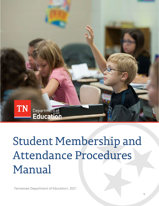

# **Student Membership and** Attendance Procedures Manual

Tennessee Department of Education| 202 1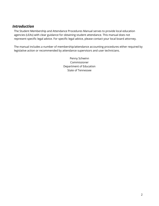# *Introduction*

The Student Membership and Attendance Procedures Manual serves to provide local education agencies (LEAs) with clear guidance for obtaining student attendance. This manual does not represent specific legal advice. For specific legal advice, please contact your local board attorney.

The manual includes a number of membership/attendance accounting procedures either required by legislative action or recommended by attendance supervisors and user technicians.

> Penny Schwinn Commissioner Department of Education State of Tennessee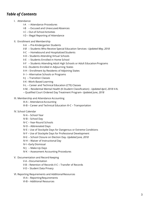# *Table of Contents*

- I. Attendance
	- I-A Attendance Procedures
	- I-B Excused and Unexcused Absences
	- I-C Out-of-School Activities
	- I-D Illegal Reporting of Attendance
- II. Enrollment and Membership
	- II-A Pre-Kindergarten Students
	- *II-B* Students Who Receive Special Education Services –*Updated May, 2018*
	- II-C Homebound and Hospitalized Students
	- II-D Students Attending Virtual Schools
	- II-E Students Enrolled in Home School
	- II-F Students Attending Adult High Schools or Adult EducationPrograms
	- II-G –Students Enrolled in Adjourning States
	- II-H Enrollment by Residents of Adjoining States
	- II- I Alternative Schools or Programs
	- II-J Transition Classes
	- II-K –Work-Based Learning
	- II-L Career and Technical Education (CTE) Classes
	- II-M. Residential Mental Health (K-Student Classification) *Updated April, 2018* II-N.
	- Qualified Court Ordered Day Treatment Program- *Updated June, 2018*
- III. Membership and Attendance Accounting
	- III-A AttendanceAccounting
	- III-B Career and Technical Education III-C Transportation
- IV. School Calendar
	- IV-A School Year
	- IV-B School Day
	- IV-C Year-Round Schools
	- IV-D Abbreviated Days
	- IV-E Use of Stockpile Days for Dangerous or Extreme Conditions
	- IV-F Use of Stockpile Days for Professional Development
	- *IV-G* School Closure on Election Day- *Updated June, 2018*
	- IV-H Waiver of Instructional Day
	- IV-I –Early Dismissal
	- IV-J Make-Up Days
	- IV-K Assessment Accounting Procedures
- V. Documentation and Record Keeping
	- V-A –Documentation
	- V-B Retention of Records V-C Transfer of Records
	- V-D Student Data Privacy
- VI. Reporting Requirements and Additional Resources
	- VI-A ReportingRequirements
	- VI-B Additional Resources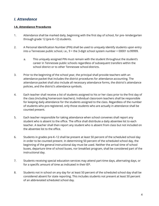# *I. Attendance*

## **I-A. Attendance Procedures**

- 1. Attendance shall be marked daily, beginning with the first day of school, for pre- kindergarten through grade 12 (pre-K–12) students.
- 2. A Personal Identification Number (PIN) shall be used to uniquely identify students upon entry into a Tennessee public school, i.e.,  $9 +$  the 3-digit school system number  $+$  00001 to 99999.
	- a. This uniquely assigned PIN must remain with the student throughout the student's career in Tennessee public schools regardless of subsequent transfers within the school district or to other Tennessee school districts.
- 3. Prior to the beginning of the school year, the principal shall provide teachers with an attendance packet that includes the district procedures for attendance accounting. The attendance packet shall also include all necessary attendance forms, the district's attendance policies, and the district's attendance symbols.
- 4. Each teacher shall receive a list of students assigned to his or her class prior to the first day of the class (including homeroom teachers). Individual classroom teachers shall be responsible for keeping daily attendance for the students assigned to the class. Regardless of the number of students who pre-registered, only those students who are actually in attendance shall be counted present.
- 5. Each teacher responsible for taking attendance when school convenes shall report any student who is absent to the office. The office shall distribute a daily absentee list to each teacher. A teacher shall then report any student who is absent from class but not included on the absentee list to the office.
- 6. Students in grades pre-K–12 shall be present at least 50 percent of the scheduled school day in order to be counted present. In determining 50 percent of the scheduled school day, the beginning of the general instructional day must be used. Neither the arrival time of school buses, departure time of school buses, nor breakfast program, shall be considered part of the instructional day.
- 7. Students receiving special education services may attend part-time days, alternating days, or for a specific amount of time as indicated in their IEP.
- 8. Students not in school on any day for at least 50 percent of the scheduled school day shall be considered absent for state reporting. This includes students not present at least 50 percent of an abbreviated scheduled school day.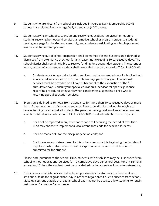- 9. Students who are absent from school are included in Average Daily Membership (ADM) counts but excluded from Average Daily Attendance (ADA) counts.
- 10. Students serving in-school suspension and receiving educational services; homebound students receiving homebound services; alternative school or program students; students serving as a page for the General Assembly; and students participating in school-sponsored events shall be counted present.
- 11. Students serving out-of-school suspension shall be marked absent. Suspension is defined as dismissed from attendance at school for any reason not exceeding 10 consecutive days. The school district shall remain eligible to receive funding for a suspended student. The parent or legal guardian of a suspended student shall be notified in accordance with T.C.A. §49-6-3401.
	- a. Students receiving special education services may be suspended out of school without educational services for up to 10 cumulative days per school year. Educational services must be provided on all days subsequent to the exhaustion of the 10 cumulative days. Consult your special education supervisor for specific guidance regarding procedural safeguards when considering suspending a child who is receiving special education services.
- 12. Expulsion is defined as removal from attendance for more than 10 consecutive days or more than 15 days in a month of school attendance. The school district shall not be eligible to receive funding for an expelled student. The parent or legal guardian of an expelled student shall be notified in accordance with T.C.A. § 49-6-3401. Students who have beenexpelled:
	- a. Shall not be reported in any attendance code to EIS during the period of expulsion. LEAs may choose to implement a local attendance code for expelled students;
	- b. Shall be marked "E" for the disciplinary action code; and
	- c. Shall have an end date entered for his or her class schedule beginning the first day of expulsion. When student returns after expulsion a new class schedule shall be submitted for the student.

Please note pursuant to the federal IDEA, students with disabilities may be suspended from school without educational services for 10 cumulative days per school year. For any removal exceeding 10 days, the student must be provided educational services in an alternatesetting.

13. Districts may establish policies that include opportunities for students to attend make-up sessions outside the regular school day in order to regain credit due to absence from school. Make-up sessions outside the regular school day may not be used to allow students to regain lost time or "cancel-out" an absence.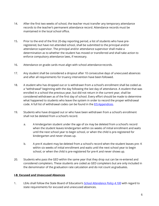- 14. After the first two weeks of school, the teacher must transfer any temporary attendance records to the teacher's permanent attendance record. Attendance records must be maintained in the local school office.
- 15. Prior to the end of the first 20-day reporting period, a list of students who have preregistered, but have not attended school, shall be submitted to the principal and/or attendance supervisor. The principal and/or attendance supervisor shall make a determination as to whether the student has moved or transferred and shall take action to enforce compulsory attendance laws, if necessary.
- 16. Attendance on grade cards must align with school attendance records.
- 17. Any student shall be considered a dropout after 10 consecutive days of unexcused absences and after all requirements for truancy intervention have been followed.
- 18. A student who has dropped out or is withdrawn from a school's enrollment shall be coded as a "withdrawal" beginning with the day following the last day of attendance. A student that was enrolled in a school the previous year, but did not return in the current year, shall be considered withdrawn as of the first day of school. Every effort should be made to determine what happened to students who leave the system in order to record the proper withdrawal code. A full list of withdrawal codes can be found in the [EIS](https://www.tn.gov/content/dam/tn/education/technology/EIS/eis_appendices_2018-19.pdf) [Appendices.](https://www.tn.gov/content/dam/tn/education/technology/EIS/eis_appendices_2018-19.pdf)
- 19. Students who have dropped out or who have been withdrawn from a school's enrollment shall not be deleted from a school's record.
	- a. A kindergarten student under the age of six may be deleted from a school's record when the student leaves kindergarten within six weeks of initial enrollment and waits until the next school year to begin school, or when the child is pre-registered for kindergarten and never shows up.
	- b. A pre-K student may be deleted from a school's record when the student leaves pre- K within six weeks of initial enrollment and waits until the next school year to begin school, or when the child is pre-registered for pre-K and never shows up.
- 20. Students who pass the GED within the same year that they drop out can be re-entered and considered completers. These students are coded as GED completers but are only included in the denominator of the graduation rate calculation and do not count asgraduates.

## **I-B. Excused and Unexcused Absences**

1. LEAs shall follow the State Board of Education's *[School Attendance Policy 4.100](https://www.tn.gov/content/dam/tn/stateboardofeducation/documents/policies/4000/20200409_4.100%20School%20Attendance%20Policy.pdf)* [wi](https://www.tn.gov/content/dam/tn/stateboardofeducation/documents/policies/4000/4.100%20School%20Attendance%20Policy%2010-20-17.pdf)th regard to state requirements for excused and unexcused absences.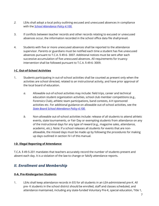- *2.* LEAs shall adopt a local policy outlining excused and unexcused absences in compliance with the *[School Attendance Policy](https://www.tn.gov/content/dam/tn/stateboardofeducation/documents/policies/4000/20200409_4.100%20School%20Attendance%20Policy.pdf) [4.100.](https://www.tn.gov/content/dam/tn/stateboardofeducation/documents/policies/4000/4.100%20School%20Attendance%20Policy%2010-20-17.pdf)*
- 3. If conflicts between teacher records and other records relating to excused or unexcused absences occur, the information recorded in the school office data file shall prevail.
- 4. Students with five or more unexcused absences shall be reported to the attendance supervisor. Parents or guardians must be notified each time a student has five unexcused absences pursuant to T.C.A. § 49-6- 3007. Additional notices must be sent after each successive accumulation of five unexcused absences. All requirements for truancy intervention shall be followed pursuant to T.C.A. § 49-6- 3009.

## **I-C. Out-of-School Activities**

- 1. Students participating in out-of-school activities shall be counted as present only when the activities are school directed, related to an instructional activity, and have prior approval of the local board of education.
	- *a.* Allowable out-of-school activities may include: field trips, career and technical education student organization activities, school club member competitions (e.g., Forensics Club), athletic team participations, band contests, 4-H sponsored activities etc. For additional guidance on allowable out-of-school activities, see the *[State Board School Attendance](https://www.tn.gov/content/dam/tn/stateboardofeducation/documents/policies/4000/20200409_4.100%20School%20Attendance%20Policy.pdf) [Policy](https://www.tn.gov/content/dam/tn/stateboardofeducation/documents/policies/4000/20200409_4.100%20School%20Attendance%20Policy.pdf) [4.100.](https://www.tn.gov/content/dam/tn/stateboardofeducation/documents/policies/4000/4.100%20School%20Attendance%20Policy%2010-20-17.pdf)*
	- *b.* Non-allowable out-of-school activities include: release of all students to attend athletic events, state tournaments, or Fair Day or exempting students from attendance on any of the instructional days for any type of reward (e.g., magazine sales, attendance, academic, etc.). Note: If a school releases all students for events that are nonallowable, the missed days must be made up by following the procedures for making up days outlined in section IV-I of this manual.

## **I-D. Illegal Reporting of Attendance**

T.C.A. § 49-5-201 mandates that teachers accurately record the number of students present and absent each day. It is a violation of the law to change or falsify attendance reports.

# *II. Enrollment and Membership*

# **II-A. Pre-Kindergarten Students**

1. LEAs shall keep attendance records in EIS for all students in an LEA-administered pre-K. All pre- K students in the school district should be enrolled, staff and classes scheduled, and attendance maintained, including any state-funded Voluntary Pre-K, special education, Title 1,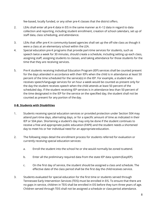fee-based, locally funded, or any other pre-K classes that the district offers.

- 2. LEAs shall enter all pre-K data in EIS in the same manner as K–12 data in regard to data collection and reporting, including student enrollment, creation of school calendars, set up of staff data, class scheduling, and attendance.
- 3. LEAs that offer pre-K in community-based agencies shall set up the off-site class as though it were a class at an elementary school within the LEA.
- 4. Special education pre-K programs that provide part-time services for students, such as speech twice a week for 30 minutes, should create a schedule, including setting up each class, assigning staff, assigning students to classes, and taking attendance for those students for the time that they are receiving services.
- 5. Pre-K students receiving Individual Education Program (IEP) services shall be counted present for the days attended in accordance with their IEPs when the child is in attendance at least 50 percent of the time scheduled for the service(s) in the IEP. For example, a student who receives speech/language services for an hour a week would be counted as present only for the day the student receives speech when the child attends at least 50 percent of the scheduled day. If the student receiving IEP services is in attendance less than 50 percent of the time designated in the IEP for the service on the specified day, the student shall not be counted as present for any portion of the day.

## **II-B. Students with Disabilities**

- 1. Students receiving special education services or provided protection under Section 504 may attend part-time days, alternating days, or for a specific amount of time as indicated in their IEP or 504 plan. Shortening a student's day may only be done if the student continues to receive a free and appropriate public education (FAPE) and the student needs a shortened day to meet his or her individual need for an appropriate education.
- 2. The following steps detail the enrollment process for students referred for evaluation or currently receiving special education services:
	- a. Enroll the student into the school he or she would normally be zoned toattend.
	- b. Enter all the preliminary required data from the state IEP data system(EasyIEP).
	- c. On the first day of service, the student should be assigned a class and schedule. The effective date of the class period shall be the first day the child receives service.
- 3. Students evaluated for special education for the first time or students served through Tennessee Early Intervention Services (TEIS) must be enrolled in EIS. To ensure that there are no gaps in service, children in TEIS shall be enrolled in EIS before they turn three years of age. Children served through TEIS shall not be assigned a schedule or classperiod attendance.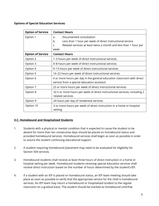## **Options of Special Education Services:**

| <b>Option of Service</b> | <b>Contact Hours</b>                                                                                                                                                               |
|--------------------------|------------------------------------------------------------------------------------------------------------------------------------------------------------------------------------|
| Option 1                 | Documented consultation<br>a.<br>b.<br>Less than 1 hour per week of direct instructional service<br>Related services at least twice a month and less than 1 hour per<br>C.<br>week |
| <b>Option of Service</b> | <b>Contact Hours</b>                                                                                                                                                               |
| Option 2                 | 1-3 hours per week of direct instructional services                                                                                                                                |
| Option 3                 | 4-8 hours per week of direct instructional services                                                                                                                                |
| Option 4                 | 9-13 hours per week of direct instructional services                                                                                                                               |
| Option 5                 | 14-22 hours per week of direct instructional services                                                                                                                              |
| Option 6                 | 4 or more hours per day in the general education classroom with direct<br>service from a special education assistant                                                               |
| Option 7                 | 23 or more hours per week of direct instructional services                                                                                                                         |
| Option 8                 | 32.5 or more hours per week of direct instructional services, including 2<br>related services                                                                                      |
| Option 9                 | 24 hours per day of residential services                                                                                                                                           |
| Option 10                | 3 or more hours per week of direct instruction in a home or hospital<br>setting                                                                                                    |

## **II-C. Homebound and Hospitalized Students**

- 1. Students with a physical or mental condition that is expected to cause the student to be absent for more than ten consecutive days should be placed on homebound status and provided homebound services. Homebound services shall begin as soon as possible in order to assure the student continuing educational support.
- 2. A student requiring homebound placement may need to be evaluated for eligibility for Section 504 services.
- 3. Homebound students shall receive at least three hours of direct instruction in a home or hospital setting per week. Homebound students receiving special education services shall receive direct instruction based on the number of hours determined by the student'sIEP.
- 4. If a student with an IEP is placed on homebound status, an IEP team meeting should take place as soon as possible to verify that the appropriate service for the child is homebound services. An IEP team may return a homebound or hospitalized student to the regular classroom on a gradual basis. The student should be marked as homebound untilthat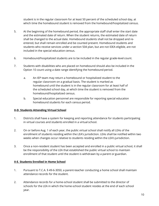student is in the regular classroom for at least 50 percent of the scheduled school day, at which time the homebound student is removed from the homebound/hospitalized census.

- 5. At the beginning of the homebound period, the appropriate staff shall enter the start date and the estimated date of return. When the student returns, the estimated date of return shall be changed to the actual date. Homebound students shall not be dropped and reentered, but shall remain enrolled and be counted present. Homebound students and students who receive services under a section 504 plan, but are not IDEA eligible, are not included in the special education census.
- 6. Homebound/hospitalized students are to be included in the regular grade-level count.
- 7. Students with disabilities who are placed on homebound should also be included in the Option 10 count using a date range identifying the homebound period.
	- a. An IEP team may return a homebound or hospitalized student to the regular classroom on a gradual basis. The student is marked as homebound until the student is in the regular classroom for at least half of the scheduled school day, at which time the student is removed from the homebound/hospitalized census.
	- b. Special education personnel are responsible for reporting special education homebound students for each census period.

## **II-D. Students Attending Virtual School**

- 1. Districts shall have a system for keeping and reporting attendance for students participating in virtual courses and students enrolled in a virtual school.
- 2. On or before Aug. 1 of each year, the public virtual school shall notify all LEAs of the enrollment of students residing within the LEA's jurisdiction. LEAs shall be notified within two weeks when changes occur relative to students residing within the LEA's jurisdiction.
- 3. Once a non-resident student has been accepted and enrolled in a public virtual school, it shall be the responsibility of the LEA that established the public virtual school to maintain enrollment of that student until the student is withdrawn by a parent or guardian.

## **II-E. Students Enrolled in Home School**

- 1. Pursuant to T.C.A. § 49-6-3050, a parent-teacher conducting a home school shall maintain attendance records for the student.
- 2. Attendance records for a home-school student shall be submitted to the director of schools for the LEA in which the home-school student resides at the end of each school year.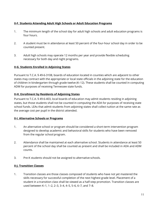# **II-F. Students Attending Adult High Schools or Adult Education Programs**

- 1. The minimum length of the school day for adult high schools and adult education programs is four hours.
- 2. A student must be in attendance at least 50 percent of the four-hour school day in order to be counted present.
- 3. Adult high schools may operate 12 months per year and provide flexible scheduling necessary for both day and night programs.

# **II-G. Students Enrolled in Adjoining States**

Pursuant to T.C.A. § 49-6-3108, boards of education located in counties which are adjacent to other states may contract with the appropriate or local state officials in the adjoining state for the education of children in kindergarten through grade twelve (K–12). These students shall be counted in computing ADM for purposes of receiving Tennessee state funds.

# **II-H. Enrollment by Residents of Adjoining States**

Pursuant to T.C.A. § 49-6-403, local boards of education may admit students residing in adjoining states, but those students shall not be counted in computing the ADA for purposes of receiving state school funds. LEAs that admit students from adjoining states shall collect tuition at the same rate as the average cost per pupil in the district attended.

## **II-I. Alternative Schools or Programs**

- 1. An alternative school or program should be considered a short-term intervention program designed to develop academic and behavioral skills for students who have been removed from the regular school program.
- 2. Attendance shall be maintained at each alternative school. Students in attendance at least 50 percent of the school day shall be counted as present and shall be included in ADA and ADM counts.
- 3. Pre-K students should not be assigned to alternative schools.

## **II-J. Transition Classes**

1. Transition classes are those classes composed of students who have not yet mastered the skills necessary for successful completion of the next highest grade level. Placement of a student in a transition class shall be viewed as a half-step promotion. Transition classes are used between K–1, 1–2, 2–3, 3–4, 4–5, 5–6, 6–7, and 7–8.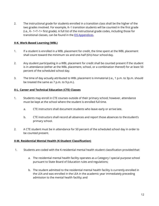2. The instructional grade for students enrolled in a transition class shall be the higher of the two grades involved. For example, K–1 transition students will be counted in the first grade (i.e., K– 1=T–1= first grade). A full list of the instructional grade codes, including those for transitional classes, can be found in the **[EIS](https://www.tn.gov/content/dam/tn/education/technology/EIS/eis_appendices_2018-19.pdf) Appendices**.

# **II-K. Work-Based Learning (WBL)**

- 1. If a student is enrolled in a WBL placement for credit, the time spent at the WBL placement shall count toward the minimum six and one-half (6½)-hour school day.
- 2. Any student participating in a WBL placement for credit shall be counted present if the student is in attendance (either at the WBL placement, school, or a combination thereof) for at least 50 percent of the scheduled school day.
- 3. The time of day actually attributed to WBL placement is immaterial (i.e., 1 p.m. to 3p.m. should be treated the same as 7 p.m. to 9 p.m.).

# **II-L. Career and Technical Education (CTE) Classes**

- 1. Students may enroll in CTE courses outside of their primary school; however, attendance must be kept at the school where the student is enrolled full time.
	- a. CTE instructors shall document students who leave early or arrive late.
	- b. CTE instructors shall record all absences and report those absences to thestudent's primary school.
- 2. A CTE student must be in attendance for 50 percent of the scheduled school day in order to be counted present.

## **II-M. Residential Mental Health (K-Student Classification)**

- 1. Students are coded with the K-residential mental health student classification providedthat:
	- a. The residential mental health facility operates as a Category I special purpose school pursuant to State Board of Education rules and regulations;
	- b. The student admitted to the residential mental health facility is currently enrolled in the LEA and was enrolled in the LEA in the academic year immediately preceding admission to the mental health facility; and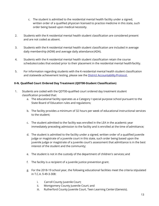- c. The student is admitted to the residential mental health facility under a signed, written order of a qualified physician licensed to practice medicine in this state, such order being based upon medical necessity.
- 2. Students with the K-residential mental health student classification are considered present and are not coded as absent.
- 3. Students with the K-residential mental health student classification are included in average daily membership (ADM) and average daily attendance (ADA).
- 4. Students with the K-residential mental health student classification retain the course schedules/codes that existed prior to their placement in the residential mental healthfacility.
- 5. For information regarding students with the K-residential mental health student classification and statewide achievement testing, please see the [District Accountabilit](https://www.tn.gov/content/dam/tn/education/accountability/2020-2021_Accountability_Protocol.pdf)y Protocol.

# **II-N. Qualified Court Ordered Day Treatment (QDT00-Student Classification)**

- 1. Students are coded with the QDT00-qualified court ordered day treatment student classification provided that:
	- a. The educational facility operates as a Category I special purpose school pursuant to the State Board of Education rules and regulations;
	- b. The facility provides a minimum of 32 hours per week of educational instructional services to the student;
	- c. The student admitted to the facility was enrolled in the LEA in the academic year immediately preceding admission to the facility and is enrolled at the time of admittance;
	- d. The student is admitted to the facility under a signed, written order of a qualified juvenile judge or magistrate of a juvenile court in this state, such order being based upon the juvenile judge or magistrate of a juvenile court's assessment that admittance is in the best interest of the student and the community;
	- e. The student is not in the custody of the department of children's services; and
	- f. The facility is a recipient of a juvenile justice prevention grant.
	- g. For the 2018-19 school year, the following educational facilities meet the criteria stipulated in T.C.A. § 49-3-308:
		- i. Carroll County Juvenile Court;
		- ii. Montgomery County Juvenile Court; and
		- iii. Rutherford County Juvenile Court, Teen Learning Center (Genesis).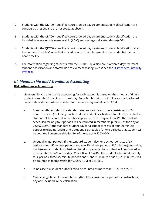- 2. Students with the QDT00 qualified court ordered day treatment student classification are considered present and are not coded as absent.
- 3. Students with the QDT00 qualified court ordered day treatment student classification are included in average daily membership (ADM) and average daily attendance(ADA).
- 4. Students with the QDT00 qualified court ordered day treatment student classification retain the course schedules/codes that existed prior to their placement in the residential mental health facility.
- 5. For information regarding students with the QDT00 qualified court ordered day treatment student classification and statewide achievement testing, please see the [District Accountabilit](https://www.tn.gov/content/dam/tn/education/accountability/2020-2021_Accountability_Protocol.pdf)[y](https://www.tn.gov/content/dam/tn/education/data/data_district_accountability_protocol_2017.pdf) [Protocol.](https://www.tn.gov/content/dam/tn/education/data/data_district_accountability_protocol_2017.pdf)

# *III. Membership and Attendance Accounting* **III-A. Attendance Accounting**

- 1. Membership and attendance accounting for each student is based on the amount of time a student is enrolled for an instructional day. For schools that do not utilize a schedule based on periods, a student who is enrolled for the entire day would be 1.0ADM.
	- a. Equal length periods: If the standard student day for a school consists of six 60 minute periods (excluding lunch), and the student is scheduled for all six periods, that student will be counted in membership for 6/6 of the day or 1.0 ADM. The student scheduled for only four periods will be counted in membership for 4/6 of the day or 0.6667 ADM. If the standard student day for a school consists of four 90-minute periods (excluding lunch), and a student is scheduled for two periods, that student will be counted in membership for 2/4 of the day or 0.5000 ADM.
	- b. Unequal length periods: If the standard student day for a school consists of six periods—four 45-minute periods and two 90-minute periods (360 minutes) (excluding lunch)—and a student is scheduled for all six periods, that student will be counted in membership for 6/6 of the day (360/360) or 1.0 ADM. The student scheduled for only four periods, three 45-minute periods and 1 one 90-minute period (225 minutes), will be counted in membership for 0.6250 ADM or 225/360.
	- c. In no case is a student authorized to be counted as more than 1.0 ADM orADA.
	- d. Class change time of reasonable length will be considered a part of the instructional day and included in the calculation.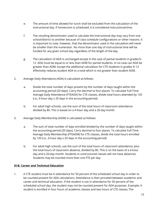- e. The amount of time allowed for lunch shall be excluded from the calculation of the instructional day. If homeroom is scheduled, it is considered instructionaltime.
- f. The resulting denominator used to calculate the instructional day may vary from one school/district to another because of class schedule configurations or other reasons. It is important to note, however, that the denominator used in the calculation will never be smaller than the numerator. No more than one day of instructional time will be funded for any given school day regardless of the length of the day.
- g. The calculation of ADA is unchanged except in the case of partial students in grades9– 12. ADA must be equal to or less than ADM for partial students. In no case can ADA be greater than ADM, except the additional calculation for CTE students in grades 9–12 effectively reduces student ADA to a total which is not greater than student ADM.
- 2. Average Daily Attendance (ADA) is calculated as follows:
	- a. Divide the total number of days present by the number of days taught within the accounting period (20 days). Carry the decimal to four places. To calculate Full-Time Average Daily Attendance (FTEADA) for CTE classes, divide total hours attended by 120 (i.e., 6-hour day x 20 days in the accounting period).
	- b. For adult high schools, use the sum of the total hours of classroom attendance divided by 80. This is based on a 4-hour day and a 20-day month.
- 3. Average Daily Membership (ADM) is calculated as follows:
	- a. The sum of total number of days enrolled divided by the number of days taught within the accounting period (20 days). Carry decimal to four places. To calculate Full-Time Average Daily Membership (FTEADM) for CTE classes, divide the total hours enrolled by 120 (i.e., 6-hour day x 20 days in the accounting period).
	- b. For adult high schools, use the sum of the total hours of classroom attendance, plus the total hours of classroom absence, divided by 80. This is on the basis of a 4-hour day and a 20-day month. Students in unstructured classes will not have absences. Students may be counted more than one FTE per day.

# **III-B. Career and Technical Education**

1. A CTE student must be in attendance for 50 percent of the scheduled school day in order to be counted present for ADA calculations. Attendance is then prorated between academic and career and technical education. If the student is not in attendance for 50 percent of the scheduled school day, the student may not be counted present for ADA purposes. Example: A student is enrolled in four hours of academic classes and two hours of CTE classes. The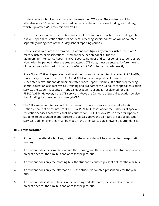student leaves school early and misses the two-hour CTE class. The student is still in attendance for 50 percent of the scheduled school day and receives funding for that day, which is prorated 4/6 academic and 2/6 CTE.

- 2. CTE instructors shall keep accurate counts of all CTE students in each class, including Option 7, 8, or 9 special education students. Students receiving special education will be counted separately during each of the 20-day school reporting periods.
- 3. Districts shall calculate the prorated CTE attendance figures by career cluster. There are 16 career clusters, or classifications, listed on the Superintendent's Student Membership/Attendance Report. The CTE course number and corresponding career cluster, along with the period(s) that the student attends CTE class, must be entered before the end of the first reporting period in order for ADA and ADM to be calculated correctly.
- 4. Since Option 7, 8, or 9 special education students cannot be counted in academic ADA/ADM, it is necessary to include their CTE ADA and ADM in the appropriate columns on the Superintendent's Student Membership/Attendance Report. Example: If a student receiving special education also receives CTE training and is a part of the 23 hours of special education service, the student is counted in special education ADM and is not claimed for CTE FTEADA/ADM. However, if the CTE service is above the 23 hours of special education service, then funding for these hours is through CTE.
- 5. The CTE classes counted as part of the minimum hours of service for special education Option 7 shall not be counted for CTE FTEADA/ADM. Classes above the 23 hours of special education services each week shall be counted for CTE FTEADA/ADM. In order for Option 7 students to be counted in appropriate CTE classes above the 23 hours of special education services, additional entries must be made in the attendance data showing this attendance.

# **III-C. Transportation**

- 1. Students who attend school any portion of the school day will be counted for transportation funding.
- 2. If a student rides the same bus in both the morning and the afternoon, the student is counted present once for the a.m. bus and once for the p.m. bus.
- 3. If a student rides only the morning bus, the student is counted present only for the a.m.bus.
- 4. If a student rides only the afternoon bus, the student is counted present only for the p.m. bus.
- 5. If a student rides different buses in the morning and afternoon, the student is counted present once for the a.m. bus and once for the p.m. bus.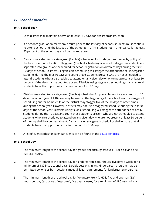# *IV. School Calendar*

## **IV-A. School Year**

- 1. Each district shall maintain a term of at least 180 days for classroom instruction.
- 2. If a school's graduation ceremony occurs prior to the last day of school, students must continue to attend school until the last day of the school term. Any student not in attendance for at least 50 percent of the school day shall be marked absent.
- 3. Districts may elect to use staggered (flexible) scheduling for kindergarten classes by policy of the local board of education. Staggered (flexible) scheduling is where kindergarten students are separated into groups and scheduled for school registration on different days during the first 10 days of school. Districts using flexible scheduling will stagger the attendance of kindergarten students during the first 10 days and count those students present who are not scheduled to attend. Students who are scheduled to attend on any given day who are not present at least 50 percent of the day shall be counted absent. Districts using staggered scheduling shall ensure all students have the opportunity to attend school for 180 days.
- 4. Districts may elect to use staggered (flexible) scheduling for pre-K classes for a maximum of 10 days per school year. All 10 days may be used at the beginning of the school year for staggered scheduling and/or home visits or the district may stagger five of the 10 days at other times during the school year. However, districts may not use a staggered schedule during the last 30 days of the school year. Districts using flexible scheduling will stagger the attendance of pre-K students during the 10 days and count those students present who are not scheduled to attend. Students who are scheduled to attend on any given day who are not present at least 50 percent of the day shall be counted absent. Districts using staggered scheduling shall ensure that all students have the opportunity to attend school for 180 days.
- 5. A list of event codes for calendar events can be found in the EIS Appendices.

## **IV-B. School Day**

- 1. The minimum length of the school day for grades one through twelve (1–12) is six and onehalf (6½) hours.
- 2. The minimum length of the school day for kindergarten is four hours, five days a week, for a minimum of 180 instructional days. Double sessions in any kindergarten program may be permitted so long as both sessions meet all legal requirements for kindergartenprograms.
- 3. The minimum length of the school day for Voluntary Pre-K (VPK) is five and one-half (5½) hours per day (exclusive of nap time), five days a week, for a minimum of 180 instructional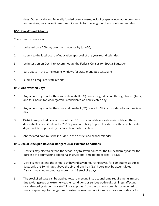days. Other locally and federally funded pre-K classes, including special education programs and services, may have different requirements for the length of the school year and day.

## **IV-C. Year-Round Schools**

Year-round schools shall:

- 1. be based on a 200-day calendar that ends by June 30;
- 2. submit to the local board of education approval of the year-round calendar;
- 3. be in session on Dec. 1 to accommodate the Federal Census for Special Education;
- 4. participate in the same testing windows for state-mandated tests; and
- 5. submit all required state reports.

## **IV-D. Abbreviated Days**

- 1. Any school day shorter than six and one-half (6½) hours for grades one through twelve (1– 12) and four hours for kindergarten is considered an abbreviated day.
- 2. Any school day shorter than five and one-half (5½) hours for VPK is considered an abbreviated day.
- 3. Districts may schedule any three of the 180 instructional days as abbreviated days. These dates shall be specified on the 200 Day Accountability Report. The dates of these abbreviated days must be approved by the local board of education.
- 4. Abbreviated days must be included in the district and school calendar.

## **IV-E. Use of Stockpile Days for Dangerous or Extreme Conditions**

- 1. Districts may elect to extend the school day to seven hours for the full academic year for the purpose of accumulating additional instructional time not to exceed 13 days.
- 2. Districts may extend the school day beyond seven hours; however, for computing stockpile days, only the 30 minutes above the six and-one-half (6½) hours may be accumulated. Districts may not accumulate more than 13 stockpile days.
- 3. The stockpiled days can be applied toward meeting instructional time requirements missed due to dangerous or extreme weather conditions or serious outbreaks of illness affecting or endangering students or staff. Prior approval from the commissioner is not required to use stockpile days for dangerous or extreme weather conditions, such as a snow day or for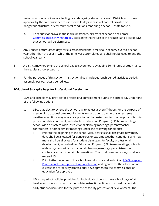serious outbreaks of illness affecting or endangering students or staff. Districts must seek approval by the commissioner to use stockpile days in cases of natural disaster, or dangerous structural or environmental conditions rendering a school unsafe for use.

- a. To request approval in these circumstances, directors of schools shall emai[l](mailto:%20Commissioner.Schwinn@tn.gov) [Commissioner.Schwinn@tn.gov e](mailto:%20Commissioner.Schwinn@tn.gov)xplaining the nature of the request and a list of days that school will be dismissed.
- 4. Any unused accumulated days for excess instructional time shall not carry over to a school year other than the year in which the time was accumulated and shall not be used to end the school year early.
- 5. A district may not extend the school day to seven hours by adding 30 minutes of study hall to the regular school program.
- 6. For the purposes of this section, "instructional day" includes lunch period, activitiesperiod, assembly period, recess period, etc.

# **IV-F. Use of Stockpile Days for Professional Development**

- 1. LEAs and schools may provide for professional development during the school day under one of the following options:
	- a. LEAs that elect to extend the school day to at least seven (7) hours for the purpose of meeting instructional time requirements missed due to dangerous or extreme weather conditions may allocate a portion of that extension for the purpose of faculty professional development, Individualized Education Program (IEP) team meetings, school-wide or system-wide instructional planning meetings, parent/teacher conferences, or other similar meetings under the following conditions:
		- i. Prior to the beginning of the school year, districts shall designate how many days shall be allocated for dangerous or extreme weather conditions and how many shall be allocated for student dismissals for faculty professional development, Individualized Education Program (IEP) team meetings, schoolwide or system- wide instructional planning meetings, parent/teacher conferences, or other similar meetings. The total number of days shall not exceed 13.
		- ii. Prior to the beginning of the school year, districts shall submit an LEA [Stockpiled](https://www.tn.gov/education/lea-operations/data-quality-integrity.html) Professional [Development](https://www.tn.gov/education/lea-operations/data-quality-integrity.html) [Days Application](https://www.tn.gov/education/lea-operations/data-quality-integrity.html) [an](https://www.tn.gov/education/lea-operations/data-quality-integrity.html)d agenda for the allocation of excess time for faculty professional development to the commissioner of education for approval.
	- b. LEAs may adopt policies providing for individual schools to have school days of at least seven hours in order to accumulate instructional time to be used forperiodic early student dismissals for the purpose of faculty professional development. The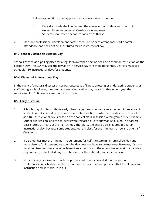following conditions shall apply to districts exercising this option:

- i. Early dismissals shall not exceed the equivalent of 13 days and shall not exceed three and one-half (3½) hours in any week.
- ii. Students shall attend school for at least 180 days.
- 2. Stockpile professional development dates scheduled prior to attendance start or after attendance end shall not be substituted for an instructional day.

# **IV-G. School Closure on Election Day**

Schools chosen as a polling place for a regular November election shall be closed for instruction on the Election Day. The LEA may use the day as an in-service day for school personnel. Districts must still schedule 180 instructional days for students.

# **IV-H. Waiver of Instructional Day**

In the event of a natural disaster or serious outbreaks of illness affecting or endangering students or staff during a school year, the commissioner of education may waive for that school year the requirement of 180 days of classroom instruction.

# **IV-I. Early Dismissal**

- 1. Schools may dismiss students early when dangerous or extreme weather conditions arise. If students are dismissed early from school, determination of whether the day can be counted as a full instructional day is based on the earliest class in session within your district. Example: School is in session, and the students were released due to snow at 10:30 a.m. The earliest class started at 7 a.m. at the high school. Therefore, the entire district is credited for an instructional day, because some students were in class for the minimum three and one-half (3½) hours.
- 2. If a school has met the minimum requirement for half the state minimum school day and must dismiss for inclement weather, the day does not have to be made up. However, if school must be dismissed because of inclement weather prior to the school having met the half-day requirement, a stockpiled day must be used, or the entire day must be madeup.
- 3. Students may be dismissed early for parent conferences provided that the parent conferences are scheduled in the school's master calendar and provided that the classroom instruction time is made up in full.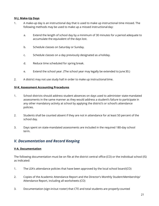## **IV-J. Make-Up Days**

- 1. A make-up day is an instructional day that is used to make up instructional time missed. The following methods may be used to make up a missed instructional day:
	- a. Extend the length of school day by a minimum of 30 minutes for a period adequate to accumulate the equivalent of the days lost.
	- b. Schedule classes on Saturday or Sunday.
	- c. Schedule classes on a day previously designated as a holiday.
	- d. Reduce time scheduled for spring break.
	- e. Extend the school year. (The school year may legally be extended to June30.)
- 2. A district may not use study hall in order to make up instructionaltime.

#### **IV-K. Assessment Accounting Procedures**

- 1. School districts should address student absences on days used to administer state-mandated assessments in the same manner as they would address a student's failure to participate in any other mandatory activity at school by applying the district's or school's attendance policies.
- 2. Students shall be counted absent if they are not in attendance for at least 50 percent of the school day.
- 3. Days spent on state-mandated assessments are included in the required 180-day school term.

# *V. Documentation and Record Keeping*

#### **V-A. Documentation**

The following documentation must be on file at the district central office (CO) or the individual school (IS) as indicated:

- 1. The LEA's attendance policies that have been approved by the local school board(CO)
- 2. Copies of the Academic Attendance Report and the Director's Monthly Student Membership/ Attendance Report, including all worksheets (CO)
- 3. Documentation (sign-in/out roster) that CTE and total students are properly counted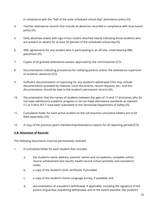in compliance with the "half of the state scheduled school day" attendance policy (IS)

- 4. Teacher attendance records that include all absences recorded in compliance with local board policy (IS)
- 5. Daily absentee sheets with sign-in/out rosters attached clearly indicating those students who are present or absent for at least 50 percent of the scheduled school day (IS)
- 6. WBL agreements for any student who is participating in an off-site, credit-bearing WBL placement (IS)
- 7. Copies of all granted attendance waivers approved by the commissioner (CO)
- 8. Documentation indicating procedures for notifying parents and/or the attendance supervisor of students' absences (CO)
- 9. Sufficient documentation of reasoning for any student's withdrawal (This may include documentation provided by relatives, court documents, record requests, etc., and this documentation should be kept in the student's permanent record.) (IS)
- 10. Documentation that the names of students between the ages of 15 and 17 (inclusive), who do not have satisfactory academic progress or do not meet attendance standards as statedin T.C.A. § 49-6-3017, have been submitted to the Tennessee Department of Safety (IS)
- 11. Cumulative folder for each active student on the roll (Inactive cumulative folders are to be filed separately.) (IS)
- 12. A copy of the previous year's membership/attendance reports for all reporting periods (CO)

# **V-B. Retention of Records**

The following documents must be permanently retained:

- 1. A cumulative folder for each student that includes:
	- a. the student's name, address, parents' names and occupations, complete school record, achievement test results, health record, school activities, and counselors' notes;
	- b. a copy of the student's birth certificate, if provided;
	- c. a copy of the student's Home Language Survey, if available; and
	- d. documentation of a student's withdrawal, if applicable, including the signature of the parent of guardian requesting withdrawal, and to the extent possible, the student's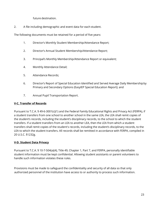future destination.

2. A file including demographic and event data for each student.

The following documents must be retained for a period of five years:

- 1. Director's Monthly Student Membership/Attendance Report;
- 2. Director's Annual Student Membership/Attendance Report;
- 3. Principal's Monthly Membership/Attendance Report or equivalent;
- 4. Monthly Attendance Detail;
- 5. Attendance Records;
- 6. Director's Report of Special Education Identified and Served Average Daily Membershipby Primary and Secondary Options (EasyIEP Special Education Report); and
- 7. Annual Pupil Transportation Report.

# **V-C. Transfer of Records**

Pursuant to T.C.A. § 49-6-3001(c)(1) and the Federal Family Educational Rights and Privacy Act (FERPA), if a student transfers from one school to another school in the same LEA, the LEA shall remit copies of the student's records, including the student's disciplinary records, to the school to which the student transfers. If a student transfers from an LEA to another LEA, then the LEA from which a student transfers shall remit copies of the student's records, including the student's disciplinary records, to the LEA to which the student transfers. All records shall be remitted in accordance with FERPA, compiled in 20 U.S.C. §1232g.

# **V-D. Student Data Privacy**

Pursuant to T.C.A. § 10-7-504(a)(4), Title 49, Chapter 1, Part 7, and FERPA, personally identifiable student information must be kept confidential. Allowing student assistants or parent volunteers to handle such information violates these rules.

Provisions must be made to safeguard the confidentiality and security of all data so that only authorized personnel of the institution have access to or authority to process such information.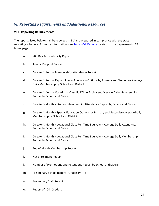# *VI. Reporting Requirements and Additional Resources*

## **VI-A. Reporting Requirements**

The reports listed below shall be reported in EIS and prepared in compliance with the state reporting schedule. For more information, see [Section VII Reports](https://www.tn.gov/content/dam/tn/education/technology/EIS/eis_all_reports.pdf) [loc](https://www.tn.gov/content/dam/tn/education/technology/EIS/eis_all_reports.pdf)ated on the department's EIS home page.

- a. 200 Day Accountability Report
- b. Annual Dropout Report
- c. Director's Annual Membership/Attendance Report
- d. Director's Annual Report Special Education Options by Primary and Secondary Average Daily Membership by School and District
- e. Director's Annual Vocational Class Full Time Equivalent Average Daily Membership Report by School and District
- f. Director's Monthly Student Membership/Attendance Report by School and District
- g. Director's Monthly Special Education Options by Primary and Secondary AverageDaily Membership by School and District
- h. Director's Monthly Vocational Class Full Time Equivalent Average Daily Attendance Report by School and District
- i. Director's Monthly Vocational Class Full Time Equivalent Average Daily Membership Report by School and District
- j. End of Month Membership Report
- k. Net Enrollment Report
- l. Number of Promotions and Retentions Report by School and District
- m. Preliminary School Report—Grades PK–12
- n. Preliminary Staff Report
- o. Report of 12th Graders